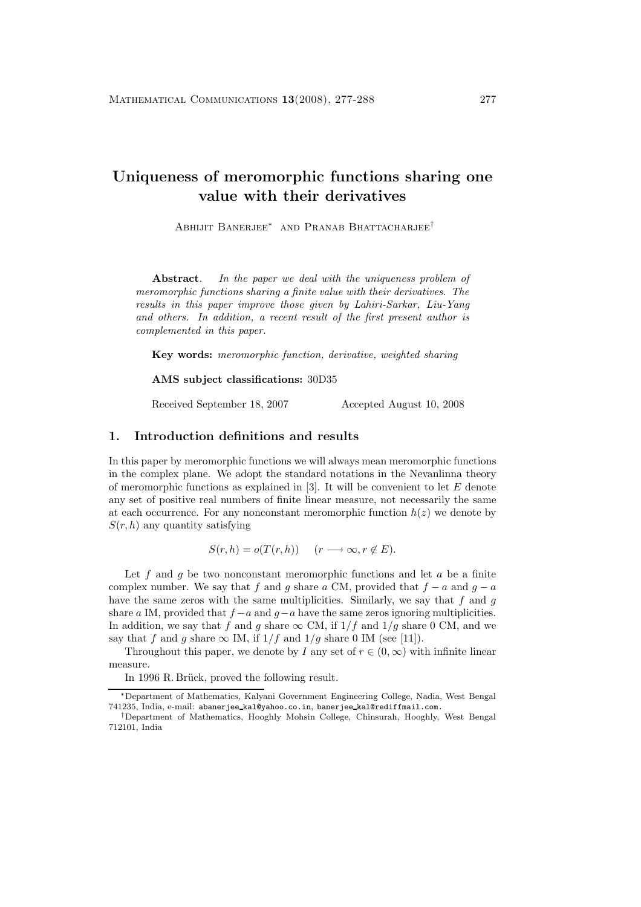# **Uniqueness of meromorphic functions sharing one value with their derivatives**

Abhijit Banerjee<sup>∗</sup> and Pranab Bhattacharjee†

**Abstract***. In the paper we deal with the uniqueness problem of meromorphic functions sharing a finite value with their derivatives. The results in this paper improve those given by Lahiri-Sarkar, Liu-Yang and others. In addition, a recent result of the first present author is complemented in this paper.*

**Key words:** *meromorphic function, derivative, weighted sharing*

**AMS subject classifications:** 30D35

Received September 18, 2007 Accepted August 10, 2008

### **1. Introduction definitions and results**

In this paper by meromorphic functions we will always mean meromorphic functions in the complex plane. We adopt the standard notations in the Nevanlinna theory of meromorphic functions as explained in  $[3]$ . It will be convenient to let E denote any set of positive real numbers of finite linear measure, not necessarily the same at each occurrence. For any nonconstant meromorphic function  $h(z)$  we denote by  $S(r, h)$  any quantity satisfying

$$
S(r,h) = o(T(r,h)) \quad (r \longrightarrow \infty, r \notin E).
$$

Let f and g be two nonconstant meromorphic functions and let g be a finite complex number. We say that f and g share a CM, provided that  $f - a$  and  $q - a$ have the same zeros with the same multiplicities. Similarly, we say that  $f$  and  $g$ share a IM, provided that  $f - a$  and  $g - a$  have the same zeros ignoring multiplicities. In addition, we say that f and g share  $\infty$  CM, if  $1/f$  and  $1/g$  share 0 CM, and we say that f and g share  $\infty$  IM, if  $1/f$  and  $1/g$  share 0 IM (see [11]).

Throughout this paper, we denote by I any set of  $r \in (0, \infty)$  with infinite linear measure.

In 1996 R. Brück, proved the following result.

<sup>∗</sup>Department of Mathematics, Kalyani Government Engineering College, Nadia, West Bengal 741235, India, e-mail: abanerjee kal@yahoo.co.in, banerjee kal@rediffmail.com.

<sup>†</sup>Department of Mathematics, Hooghly Mohsin College, Chinsurah, Hooghly, West Bengal 712101, India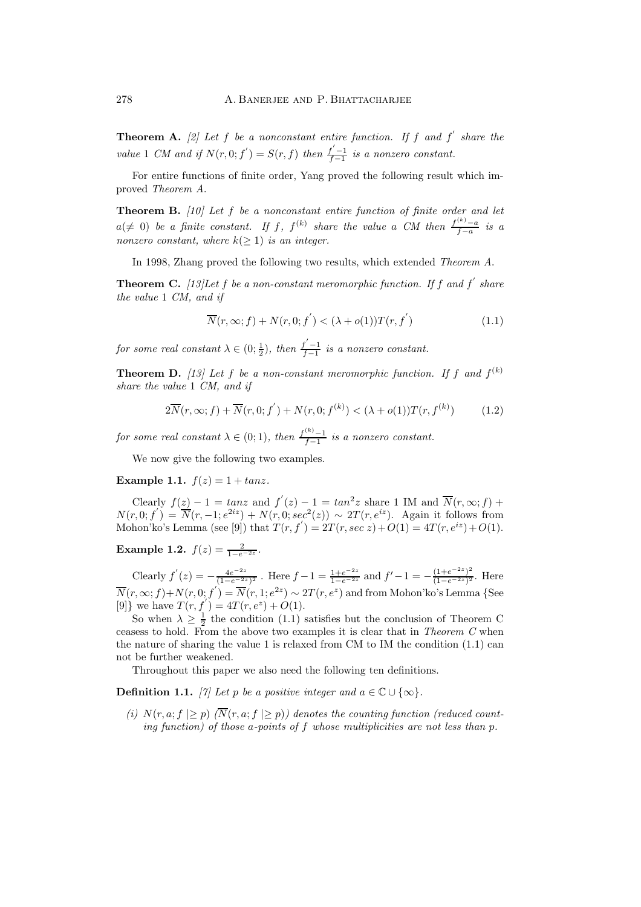**Theorem A.** [2] Let f be a nonconstant entire function. If f and f' share the *value* 1 *CM* and if  $N(r, 0; f') = S(r, f)$  *then*  $\frac{f'-1}{f-1}$  *is a nonzero constant.* 

For entire functions of finite order, Yang proved the following result which improved *Theorem A*.

**Theorem B.** *[10] Let* f *be a nonconstant entire function of finite order and let*  $a(\neq 0)$  *be a finite constant.* If f,  $f^{(k)}$  *share the value* a *CM* then  $\frac{f^{(k)} - a}{f - a}$  *is a nonzero constant, where*  $k(>1)$  *is an integer.* 

In 1998, Zhang proved the following two results, which extended *Theorem A*.

**Theorem C.** *[13]Let* f *be a non-constant meromorphic function. If* f *and* f *share the value* 1 *CM, and if*

$$
\overline{N}(r,\infty;f) + N(r,0;f') < (\lambda + o(1))T(r,f') \tag{1.1}
$$

*for some real constant*  $\lambda \in (0, \frac{1}{2})$ *, then*  $\frac{f'-1}{f-1}$  *is a nonzero constant.* 

**Theorem D.** [13] Let f be a non-constant meromorphic function. If f and  $f^{(k)}$ *share the value* 1 *CM, and if*

$$
2\overline{N}(r,\infty;f) + \overline{N}(r,0;f') + N(r,0;f^{(k)}) < (\lambda + o(1))T(r,f^{(k)})
$$
 (1.2)

*for some real constant*  $\lambda \in (0, 1)$ *, then*  $\frac{f^{(k)} - 1}{f - 1}$  *is a nonzero constant.* 

We now give the following two examples.

**Example 1.1.**  $f(z) = 1 + \tan z$ .

Clearly  $f(z) - 1 = \tan z$  and  $f'(z) - 1 = \tan^2 z$  share 1 IM and  $\overline{N}(r, \infty; f)$  +  $N(r, 0; f') = \overline{N}(r, -1; e^{2iz}) + N(r, 0; \sec^2(z)) \sim 2T(r, e^{iz})$ . Again it follows from Mohon'ko's Lemma (see [9]) that  $T(r, f') = 2T(r, sec\ z) + O(1) = 4T(r, e^{iz}) + O(1)$ .

**Example 1.2.**  $f(z) = \frac{2}{1 - e^{-2z}}$ .

Clearly  $f'(z) = -\frac{4e^{-2z}}{(1-e^{-2z})^2}$ . Here  $f-1 = \frac{1+e^{-2z}}{1-e^{-2z}}$  and  $f'-1 = -\frac{(1+e^{-2z})^2}{(1-e^{-2z})^2}$ . Here  $\overline{N}(r,\infty;f)+N(r,0;f^{'})=\overline{N}(r,1;e^{2z})\sim 2T(r,e^{z})$  and from Mohon'ko's Lemma {See [9]} we have  $T(r, f') = 4T(r, e^z) + O(1)$ .

So when  $\lambda \geq \frac{1}{2}$  the condition (1.1) satisfies but the conclusion of Theorem C ceasess to hold. From the above two examples it is clear that in *Theorem C* when the nature of sharing the value 1 is relaxed from CM to IM the condition  $(1.1)$  can not be further weakened.

Throughout this paper we also need the following ten definitions.

**Definition 1.1.** *[7]* Let p be a positive integer and  $a \in \mathbb{C} \cup \{\infty\}$ .

*(i)*  $N(r, a; f) > p$   $\overline{N}(r, a; f) > p$  denotes the counting function (reduced count*ing function) of those* a*-points of* f *whose multiplicities are not less than* p*.*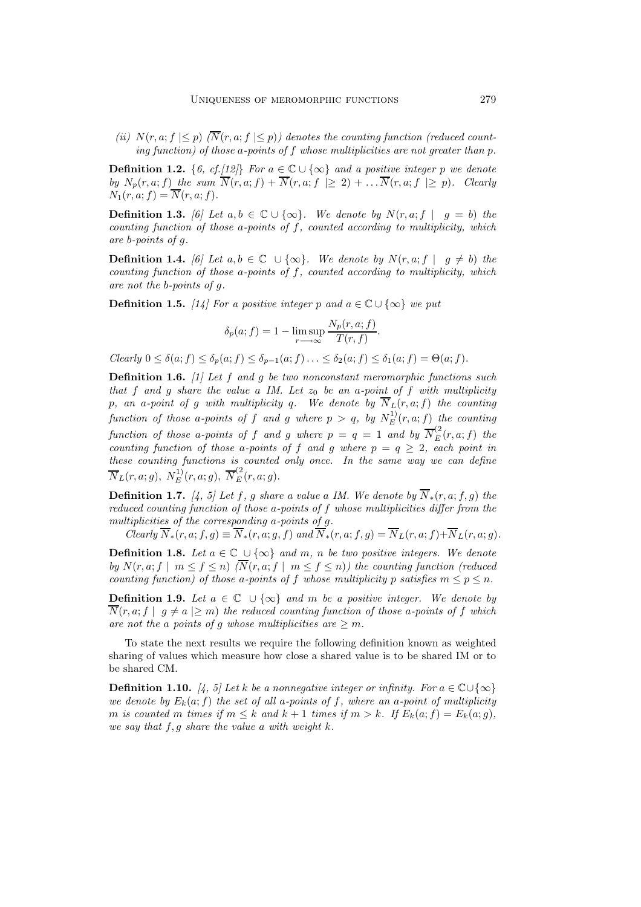*(ii)*  $N(r, a; f \leq p)$   $\langle \overline{N}(r, a; f \leq p) \rangle$  denotes the counting function (reduced count*ing function) of those* a*-points of* f *whose multiplicities are not greater than* p*.*

**Definition 1.2.** {6, cf.[12]} For  $a \in \mathbb{C} \cup \{\infty\}$  and a positive integer p we denote *by*  $N_p(r, a; f)$  *the sum*  $\overline{N}(r, a; f) + \overline{N}(r, a; f) \geq 2 + \ldots$   $\overline{N}(r, a; f) \geq p$ *). Clearly*  $N_1(r, a; f) = \overline{N}(r, a; f).$ 

**Definition 1.3.** *[6]* Let  $a, b \in \mathbb{C} \cup \{\infty\}$ . We denote by  $N(r, a; f | g = b)$  the *counting function of those* a*-points of* f*, counted according to multiplicity, which are* b*-points of* g*.*

**Definition 1.4.** *[6]* Let  $a, b \in \mathbb{C} \cup \{\infty\}$ . We denote by  $N(r, a; f | q \neq b)$  the *counting function of those* a*-points of* f*, counted according to multiplicity, which are not the* b*-points of* g*.*

**Definition 1.5.** *[14] For a positive integer* p and  $a \in \mathbb{C} \cup \{\infty\}$  *we put* 

$$
\delta_p(a; f) = 1 - \limsup_{r \to \infty} \frac{N_p(r, a; f)}{T(r, f)}.
$$

*Clearly*  $0 \leq \delta(a; f) \leq \delta_p(a; f) \leq \delta_{p-1}(a; f) \ldots \leq \delta_2(a; f) \leq \delta_1(a; f) = \Theta(a; f)$ .

**Definition 1.6.** *[1] Let* f *and* g *be two nonconstant meromorphic functions such that*  $f$  *and*  $g$  *share the value*  $a$  *IM. Let*  $z_0$  *be an*  $a$ -point of  $f$  *with multiplicity* p, an a-point of g with multiplicity q. We denote by  $\overline{N}_L(r, a; f)$  the counting  $\emph{function of those a-points of $f$ and $g$ where $p>q$, by $N_E^{11}(r,a;f)$ the counting $p$-axis.}$ *function of those a-points of* f *and* g where  $p = q = 1$  *and* by  $\overline{N}_{E}^{(2)}(r, a; f)$  *the counting function of those a-points of* f and g where  $p = q \geq 2$ *, each point in these counting functions is counted only once. In the same way we can define*  $\overline{N}_L(r,a;g), N_E^{1)}(r,a;g), \ \overline{N}_E^{(2}(r,a;g).$ 

**Definition 1.7.** *[4, 5] Let*  $f$ *,*  $g$  *share a value a IM. We denote by*  $\overline{N}_*(r, a; f, g)$  the *reduced counting function of those* a*-points of* f *whose multiplicities differ from the multiplicities of the corresponding* a*-points of* g*.*

*Clearly*  $N_*(r, a; f, g) \equiv N_*(r, a; g, f)$  *and*  $N_*(r, a; f, g) = N_L(r, a; f) + N_L(r, a; g)$ *.* 

**Definition 1.8.** *Let*  $a \in \mathbb{C}$  ∪ $\{\infty\}$  *and*  $m$ ,  $n$  *be two positive integers. We denote by*  $N(r, a; f \mid m \leq f \leq n)$   $(\overline{N}(r, a; f \mid m \leq f \leq n))$  the counting function (reduced *counting function) of those a-points of* f *whose multiplicity* p *satisfies*  $m \leq p \leq n$ .

**Definition 1.9.** *Let*  $a \in \mathbb{C}$  ∪ {∞} *and*  $m$  *be a positive integer. We denote by*  $\overline{N}(r, a; f | g \neq a | \geq m)$  *the reduced counting function of those a-points of f which* are not the a points of g whose multiplicities are  $\geq m$ .

To state the next results we require the following definition known as weighted sharing of values which measure how close a shared value is to be shared IM or to be shared CM.

**Definition 1.10.** *[4, 5] Let*  $k$  *be a nonnegative integer or infinity. For*  $a \in \mathbb{C} \cup \{\infty\}$ *we denote by*  $E_k(a; f)$  *the set of all a-points of f, where an a-point of multiplicity* m is counted m times if  $m \leq k$  and  $k + 1$  times if  $m > k$ . If  $E_k(a; f) = E_k(a; g)$ , *we say that* f,g *share the value* a *with weight* k*.*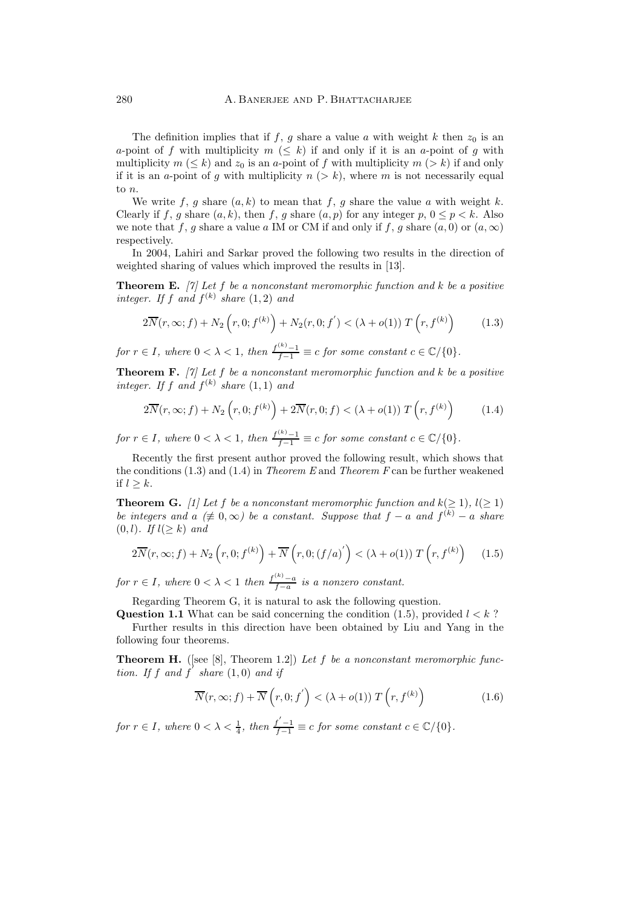The definition implies that if f, g share a value a with weight k then  $z_0$  is an a-point of f with multiplicity  $m \ (\leq k)$  if and only if it is an a-point of g with multiplicity  $m \ (\leq k)$  and  $z_0$  is an a-point of f with multiplicity  $m \ (\geq k)$  if and only if it is an a-point of q with multiplicity  $n (> k)$ , where m is not necessarily equal to n.

We write f, g share  $(a, k)$  to mean that f, g share the value a with weight k. Clearly if f, g share  $(a, k)$ , then f, g share  $(a, p)$  for any integer p,  $0 \le p < k$ . Also we note that f, g share a value a IM or CM if and only if f, g share  $(a, 0)$  or  $(a, \infty)$ respectively.

In 2004, Lahiri and Sarkar proved the following two results in the direction of weighted sharing of values which improved the results in [13].

**Theorem E.** *[7] Let* f *be a nonconstant meromorphic function and* k *be a positive integer. If*  $f$  *and*  $f^{(k)}$  *share* (1, 2) *and* 

$$
2\overline{N}(r,\infty;f) + N_2\left(r,0;f^{(k)}\right) + N_2(r,0;f') < (\lambda + o(1))\,T\left(r,f^{(k)}\right) \tag{1.3}
$$

*for*  $r \in I$ *, where*  $0 < \lambda < 1$ *, then*  $\frac{f^{(k)} - 1}{f - 1} \equiv c$  *for some constant*  $c \in \mathbb{C}/\{0\}$ *.* 

**Theorem F.** *[7] Let* f *be a nonconstant meromorphic function and* k *be a positive integer.* If f and  $f^{(k)}$  share  $(1,1)$  and

$$
2\overline{N}(r,\infty;f) + N_2\left(r,0;f^{(k)}\right) + 2\overline{N}(r,0;f) < \left(\lambda + o(1)\right)T\left(r,f^{(k)}\right) \tag{1.4}
$$

*for*  $r \in I$ *, where*  $0 < \lambda < 1$ *, then*  $\frac{f^{(k)} - 1}{f - 1} \equiv c$  *for some constant*  $c \in \mathbb{C}/\{0\}$ *.* 

Recently the first present author proved the following result, which shows that the conditions (1.3) and (1.4) in *Theorem E* and *Theorem F* can be further weakened if  $l \geq k$ .

**Theorem G.** *[1] Let* f *be a nonconstant meromorphic function and*  $k(>1)$ *,*  $l(>1)$ *be integers and*  $\alpha \neq 0, \infty$ *) be a constant. Suppose that*  $f - a$  *and*  $f^{(k)} - a$  *share* (0, l)*. If* l(≥ k) *and*

$$
2\overline{N}(r,\infty;f) + N_2\left(r,0;f^{(k)}\right) + \overline{N}\left(r,0;(f/a)^{'}\right) < \left(\lambda + o(1)\right)T\left(r,f^{(k)}\right) \tag{1.5}
$$

*for*  $r \in I$ , where  $0 < \lambda < 1$  *then*  $\frac{f^{(k)} - a}{f - a}$  *is a nonzero constant.* 

Regarding Theorem G, it is natural to ask the following question.

**Question 1.1** What can be said concerning the condition  $(1.5)$ , provided  $l < k$ ? Further results in this direction have been obtained by Liu and Yang in the

following four theorems.

**Theorem H.** ([see [8], Theorem 1.2]) *Let* f *be a nonconstant meromorphic function.* If f and f' share  $(1,0)$  and if

$$
\overline{N}(r,\infty;f) + \overline{N}(r,0;f') < (\lambda + o(1)) T(r,f^{(k)})
$$
\n(1.6)

*for*  $r \in I$ *, where*  $0 < \lambda < \frac{1}{4}$ *, then*  $\frac{f'-1}{f-1} \equiv c$  *for some constant*  $c \in \mathbb{C}/\{0\}$ *.*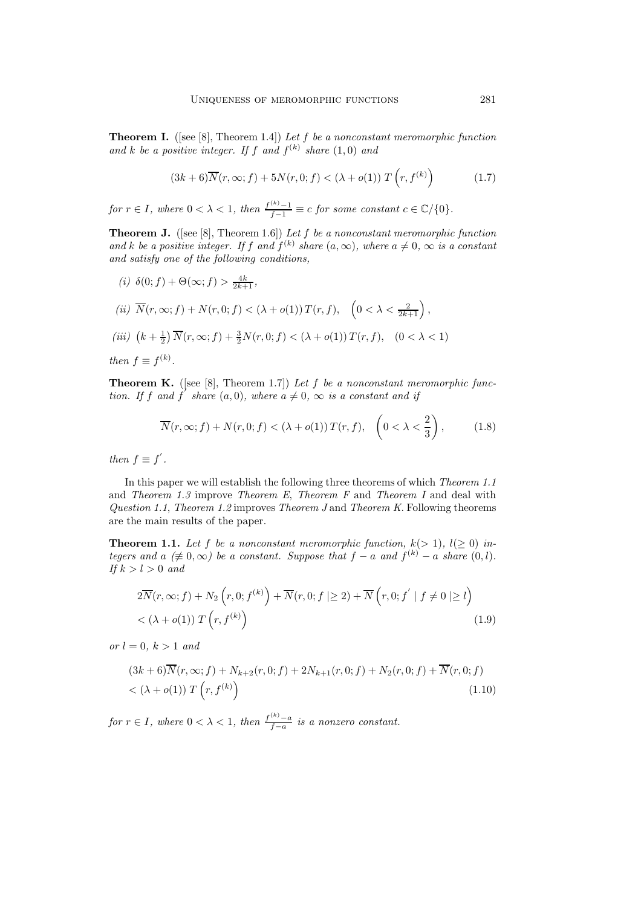**Theorem I.** ([see [8], Theorem 1.4]) *Let* f *be a nonconstant meromorphic function* and *k* be a positive integer. If f and  $f^{(k)}$  share  $(1,0)$  and

$$
(3k+6)\overline{N}(r,\infty;f) + 5N(r,0;f) < (\lambda + o(1))\,T\left(r,f^{(k)}\right) \tag{1.7}
$$

*for*  $r \in I$ *, where*  $0 < \lambda < 1$ *, then*  $\frac{f^{(k)} - 1}{f - 1} \equiv c$  *for some constant*  $c \in \mathbb{C}/\{0\}$ *.* 

**Theorem J.** ([see [8], Theorem 1.6]) *Let* f *be a nonconstant meromorphic function* and k be a positive integer. If f and  $f^{(k)}$  share  $(a, \infty)$ , where  $a \neq 0$ ,  $\infty$  is a constant *and satisfy one of the following conditions,*

(i) 
$$
\delta(0; f) + \Theta(\infty; f) > \frac{4k}{2k+1},
$$
\n(ii)  $\overline{N}(r, \infty; f) + N(r, 0; f) < (\lambda + o(1))T(r, f), \quad \left(0 < \lambda < \frac{2}{2k+1}\right),$ \n(iii)  $\left(k + \frac{1}{2}\right)\overline{N}(r, \infty; f) + \frac{3}{2}N(r, 0; f) < (\lambda + o(1))T(r, f), \quad \left(0 < \lambda < 1\right)$ \nthen  $f \equiv f^{(k)}.$ 

**Theorem K.** ([see [8], Theorem 1.7]) *Let* f *be a nonconstant meromorphic function.* If f and f' share  $(a, 0)$ , where  $a \neq 0$ ,  $\infty$  is a constant and if

$$
\overline{N}(r,\infty;f) + N(r,0;f) < (\lambda + o(1)) \, T(r,f), \quad \left(0 < \lambda < \frac{2}{3}\right), \tag{1.8}
$$

*then*  $f \equiv f'$ .

In this paper we will establish the following three theorems of which *Theorem 1.1* and *Theorem 1.3* improve *Theorem E*, *Theorem F* and *Theorem I* and deal with *Question 1.1*, *Theorem 1.2* improves *Theorem J* and *Theorem K*. Following theorems are the main results of the paper.

**Theorem 1.1.** Let f be a nonconstant meromorphic function,  $k(>1)$ ,  $l(\geq 0)$  in*tegers and*  $a \neq 0, \infty$ *) be a constant. Suppose that*  $f - a$  *and*  $f^{(k)} - a$  *share*  $(0, l)$ *. If*  $k > l > 0$  *and* 

$$
2\overline{N}(r,\infty;f) + N_2\left(r,0;f^{(k)}\right) + \overline{N}(r,0;f \mid \geq 2) + \overline{N}\left(r,0;f' \mid f \neq 0 \mid \geq l\right)
$$
  
< 
$$
< (\lambda + o(1)) T\left(r, f^{(k)}\right)
$$
 (1.9)

*or*  $l = 0, k > 1$  *and* 

$$
(3k+6)\overline{N}(r,\infty;f) + N_{k+2}(r,0;f) + 2N_{k+1}(r,0;f) + N_2(r,0;f) + \overline{N}(r,0;f) < (\lambda + o(1)) T(r,f^{(k)})
$$
\n(1.10)

*for*  $r \in I$ *, where*  $0 < \lambda < 1$ *, then*  $\frac{f^{(k)} - a}{f - a}$  *is a nonzero constant.*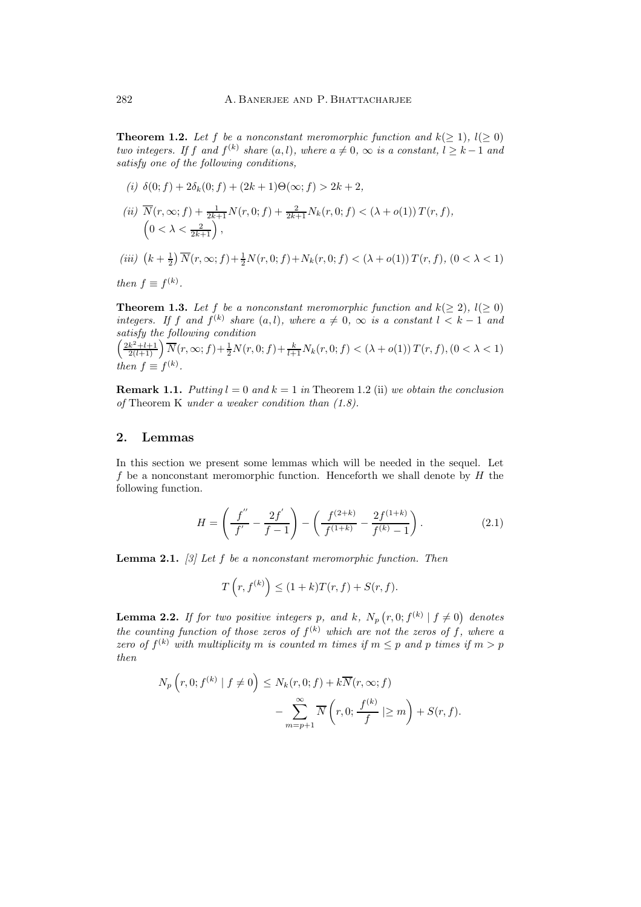**Theorem 1.2.** Let f be a nonconstant meromorphic function and  $k(>1)$ ,  $l(>0)$ *two integers. If* f and  $f^{(k)}$  *share*  $(a, l)$ *, where*  $a \neq 0$ *,*  $\infty$  *is a constant,*  $l \geq k - 1$  *and satisfy one of the following conditions,*

(i) 
$$
\delta(0; f) + 2\delta_k(0; f) + (2k+1)\Theta(\infty; f) > 2k + 2
$$
,  
\n(ii)  $\overline{N}(r, \infty; f) + \frac{1}{2k+1}N(r, 0; f) + \frac{2}{2k+1}N_k(r, 0; f) < (\lambda + o(1))T(r, f)$ ,  
\n $(0 < \lambda < \frac{2}{2k+1})$ ,  
\n(iii)  $(k + \frac{1}{2})\overline{N}(r, \infty; f) + \frac{1}{2}N(r, 0; f) + N_k(r, 0; f) < (\lambda + o(1))T(r, f)$ ,  $(0 < \lambda < 1)$ 

*then*  $f \equiv f^{(k)}$ .

**Theorem 1.3.** Let f be a nonconstant meromorphic function and  $k(\geq 2)$ ,  $l(\geq 0)$ *integers.* If f and  $f^{(k)}$  share  $(a, l)$ *, where*  $a \neq 0$ *,*  $\infty$  *is a constant*  $l \leq k - 1$  *and satisfy the following condition*

$$
\left(\frac{2k^2+l+1}{2(l+1)}\right)\overline{N}(r,\infty;f) + \frac{1}{2}N(r,0;f) + \frac{k}{l+1}N_k(r,0;f) < (\lambda + o(1))T(r,f), (0 < \lambda < 1)
$$
\nthen  $f \equiv f^{(k)}$ .

**Remark 1.1.** *Putting*  $l = 0$  *and*  $k = 1$  *in* Theorem 1.2 (ii) *we obtain the conclusion of* Theorem K *under a weaker condition than (1.8).*

#### **2. Lemmas**

In this section we present some lemmas which will be needed in the sequel. Let  $f$  be a nonconstant meromorphic function. Henceforth we shall denote by  $H$  the following function.

$$
H = \left(\frac{f''}{f'} - \frac{2f'}{f-1}\right) - \left(\frac{f^{(2+k)}}{f^{(1+k)}} - \frac{2f^{(1+k)}}{f^{(k)} - 1}\right). \tag{2.1}
$$

**Lemma 2.1.** *[3] Let* f *be a nonconstant meromorphic function. Then*

$$
T\left(r, f^{(k)}\right) \le (1+k)T(r, f) + S(r, f).
$$

**Lemma 2.2.** If for two positive integers p, and k,  $N_p(r, 0; f^{(k)} | f \neq 0)$  denotes *the counting function of those zeros of*  $f^{(k)}$  *which are not the zeros of*  $f$ *, where a zero of*  $f^{(k)}$  *with multiplicity* m *is counted* m *times if*  $m < p$  *and* p *times if*  $m > p$ *then*

$$
N_p\left(r,0; f^{(k)} \mid f \neq 0\right) \le N_k(r,0; f) + k\overline{N}(r,\infty; f)
$$

$$
-\sum_{m=p+1}^{\infty} \overline{N}\left(r,0; \frac{f^{(k)}}{f} \mid \ge m\right) + S(r, f).
$$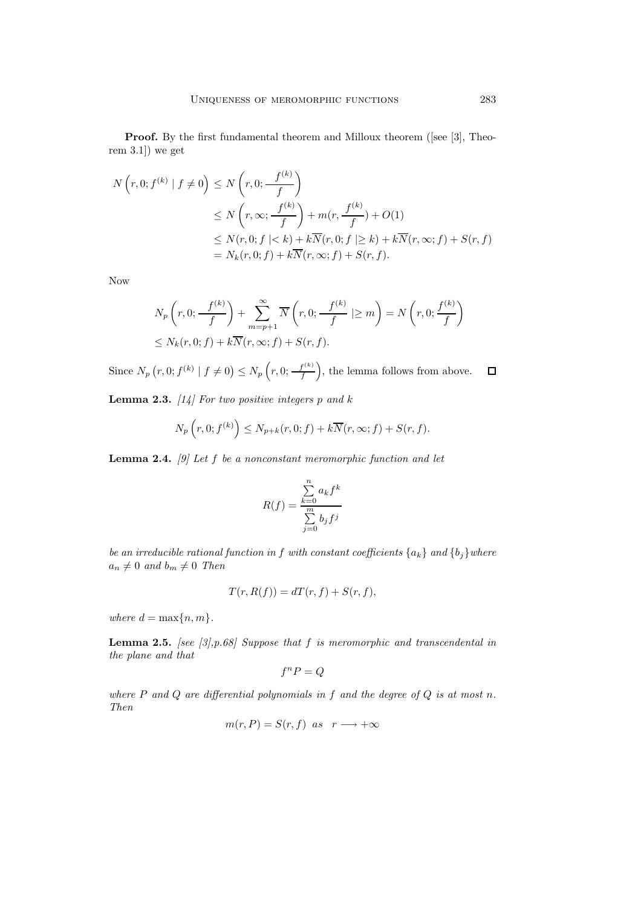**Proof.** By the first fundamental theorem and Milloux theorem ([see [3], Theorem 3.1]) we get

$$
N\left(r, 0; f^{(k)} \mid f \neq 0\right) \le N\left(r, 0; \frac{f^{(k)}}{f}\right)
$$
  
\n
$$
\le N\left(r, \infty; \frac{f^{(k)}}{f}\right) + m(r, \frac{f^{(k)}}{f}) + O(1)
$$
  
\n
$$
\le N(r, 0; f \mid < k) + k\overline{N}(r, 0; f \mid \ge k) + k\overline{N}(r, \infty; f) + S(r, f)
$$
  
\n
$$
= N_k(r, 0; f) + k\overline{N}(r, \infty; f) + S(r, f).
$$

Now

$$
N_p\left(r, 0; \frac{f^{(k)}}{f}\right) + \sum_{m=p+1}^{\infty} \overline{N}\left(r, 0; \frac{f^{(k)}}{f} \mid \ge m\right) = N\left(r, 0; \frac{f^{(k)}}{f}\right)
$$
  

$$
\le N_k(r, 0; f) + k\overline{N}(r, \infty; f) + S(r, f).
$$

Since  $N_p(r, 0; f^{(k)} | f \neq 0) \le N_p(r, 0; \frac{f^{(k)}}{f}),$  the lemma follows from above.  $\Box$ 

**Lemma 2.3.** *[14] For two positive integers* p *and* k

$$
N_p\left(r,0; f^{(k)}\right) \le N_{p+k}(r,0;f) + k\overline{N}(r,\infty;f) + S(r,f).
$$

**Lemma 2.4.** *[9] Let* f *be a nonconstant meromorphic function and let*

$$
R(f) = \frac{\sum_{k=0}^{n} a_k f^k}{\sum_{j=0}^{m} b_j f^j}
$$

*be an irreducible rational function in* f *with constant coefficients* {a*k*} *and* {b*j*}*where*  $a_n \neq 0$  and  $b_m \neq 0$  Then

$$
T(r, R(f)) = dT(r, f) + S(r, f),
$$

*where*  $d = \max\{n, m\}$ *.* 

**Lemma 2.5.** *[see [3],p.68] Suppose that* f *is meromorphic and transcendental in the plane and that*

$$
f^n P = Q
$$

*where* P *and* Q *are differential polynomials in* f *and the degree of* Q *is at most* n*. Then*

$$
m(r, P) = S(r, f) \text{ as } r \longrightarrow +\infty
$$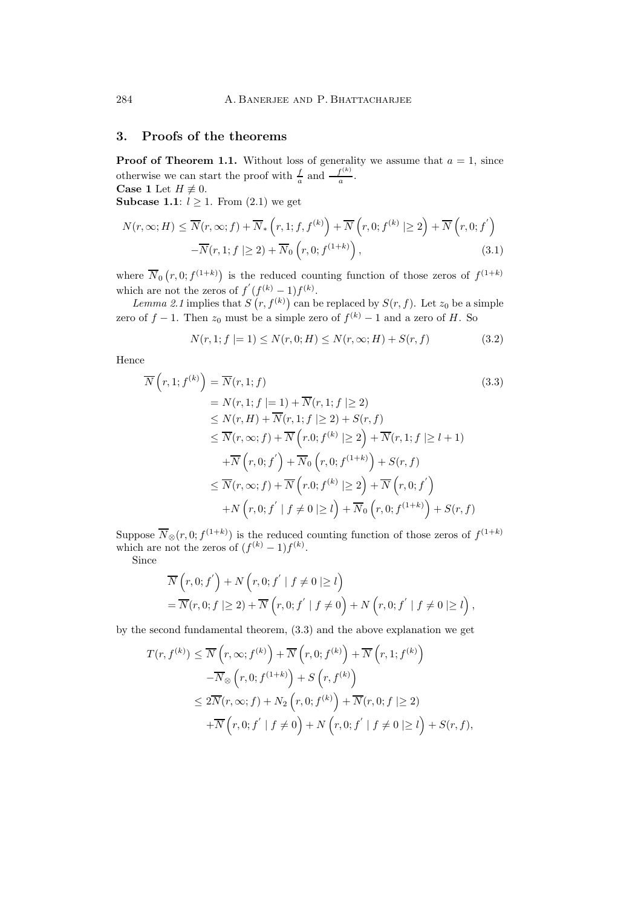## **3. Proofs of the theorems**

**Proof of Theorem 1.1.** Without loss of generality we assume that  $a = 1$ , since otherwise we can start the proof with  $\frac{f}{a}$  and  $\frac{f^{(k)}}{a}$ . **Case 1** Let  $H \not\equiv 0$ .

**Subcase 1.1**:  $l \geq 1$ . From  $(2.1)$  we get

$$
N(r, \infty; H) \leq \overline{N}(r, \infty; f) + \overline{N}_* \left( r, 1; f, f^{(k)} \right) + \overline{N} \left( r, 0; f^{(k)} \mid \geq 2 \right) + \overline{N} \left( r, 0; f^{'} \right) - \overline{N}(r, 1; f \mid \geq 2) + \overline{N}_0 \left( r, 0; f^{(1+k)} \right),
$$
(3.1)

where  $\overline{N}_0(r,0;f^{(1+k)})$  is the reduced counting function of those zeros of  $f^{(1+k)}$ which are not the zeros of  $f'(f^{(k)}-1)f^{(k)}$ .

Lemma 2.1 implies that  $S(r, f^{(k)})$  can be replaced by  $S(r, f)$ . Let  $z_0$  be a simple zero of  $f - 1$ . Then  $z_0$  must be a simple zero of  $f^{(k)} - 1$  and a zero of H. So

$$
N(r, 1; f \mid = 1) \le N(r, 0; H) \le N(r, \infty; H) + S(r, f) \tag{3.2}
$$

Hence

$$
\overline{N}\left(r,1; f^{(k)}\right) = \overline{N}(r,1; f)
$$
\n
$$
= N(r,1; f \mid= 1) + \overline{N}(r,1; f \mid\geq 2)
$$
\n
$$
\leq N(r, H) + \overline{N}(r,1; f \mid\geq 2) + S(r, f)
$$
\n
$$
\leq \overline{N}(r, \infty; f) + \overline{N}\left(r,0; f^{(k)} \mid\geq 2\right) + \overline{N}(r,1; f \mid\geq l+1)
$$
\n
$$
+ \overline{N}\left(r,0; f^{'}\right) + \overline{N}_0\left(r,0; f^{(1+k)}\right) + S(r, f)
$$
\n
$$
\leq \overline{N}(r, \infty; f) + \overline{N}\left(r,0; f^{(k)} \mid\geq 2\right) + \overline{N}\left(r,0; f^{'}\right)
$$
\n
$$
+ N\left(r,0; f^{'} \mid f \neq 0 \mid\geq l\right) + \overline{N}_0\left(r,0; f^{(1+k)}\right) + S(r, f)
$$
\n(17.18)

Suppose  $\overline{N}_{\otimes}(r,0;f^{(1+k)})$  is the reduced counting function of those zeros of  $f^{(1+k)}$ which are not the zeros of  $(f^{(k)} - 1)f^{(k)}$ .

Since

$$
\overline{N}\left(r,0; f^{'}\right) + N\left(r,0; f^{'} \mid f \neq 0 \mid \geq l\right) \n= \overline{N}(r,0; f \mid \geq 2) + \overline{N}\left(r,0; f^{'} \mid f \neq 0\right) + N\left(r,0; f^{'} \mid f \neq 0 \mid \geq l\right),
$$

by the second fundamental theorem, (3.3) and the above explanation we get

$$
T(r, f^{(k)}) \leq \overline{N}\left(r, \infty; f^{(k)}\right) + \overline{N}\left(r, 0; f^{(k)}\right) + \overline{N}\left(r, 1; f^{(k)}\right)
$$
  

$$
-\overline{N}_{\otimes}\left(r, 0; f^{(1+k)}\right) + S\left(r, f^{(k)}\right)
$$
  

$$
\leq 2\overline{N}(r, \infty; f) + N_2\left(r, 0; f^{(k)}\right) + \overline{N}(r, 0; f \mid \geq 2)
$$
  

$$
+\overline{N}\left(r, 0; f^{'} \mid f \neq 0\right) + N\left(r, 0; f^{'} \mid f \neq 0 \mid \geq l\right) + S(r, f),
$$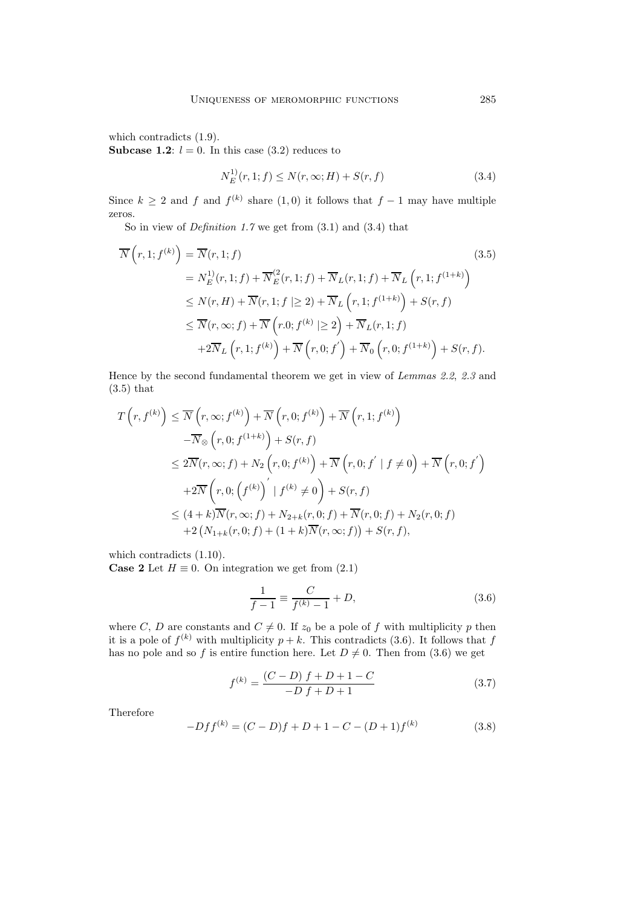which contradicts (1.9).

**Subcase 1.2**:  $l = 0$ . In this case (3.2) reduces to

$$
N_E^{(1)}(r, 1; f) \le N(r, \infty; H) + S(r, f) \tag{3.4}
$$

Since  $k \geq 2$  and f and  $f^{(k)}$  share (1,0) it follows that  $f - 1$  may have multiple zeros.

So in view of *Definition 1.7* we get from (3.1) and (3.4) that

$$
\overline{N}\left(r,1; f^{(k)}\right) = \overline{N}(r,1; f)
$$
\n
$$
= N_E^{1)}(r,1; f) + \overline{N}_E^{(2)}(r,1; f) + \overline{N}_L(r,1; f) + \overline{N}_L\left(r,1; f^{(1+k)}\right)
$$
\n
$$
\leq N(r, H) + \overline{N}(r,1; f \mid \geq 2) + \overline{N}_L\left(r,1; f^{(1+k)}\right) + S(r, f)
$$
\n
$$
\leq \overline{N}(r, \infty; f) + \overline{N}\left(r.0; f^{(k)} \mid \geq 2\right) + \overline{N}_L(r,1; f)
$$
\n
$$
+2\overline{N}_L\left(r,1; f^{(k)}\right) + \overline{N}\left(r,0; f^{'}\right) + \overline{N}_0\left(r,0; f^{(1+k)}\right) + S(r, f).
$$
\n(3.5)

Hence by the second fundamental theorem we get in view of *Lemmas 2.2*, *2.3* and (3.5) that

$$
T\left(r, f^{(k)}\right) \leq \overline{N}\left(r, \infty; f^{(k)}\right) + \overline{N}\left(r, 0; f^{(k)}\right) + \overline{N}\left(r, 1; f^{(k)}\right)
$$
  

$$
-\overline{N}_{\otimes}\left(r, 0; f^{(1+k)}\right) + S(r, f)
$$
  

$$
\leq 2\overline{N}(r, \infty; f) + N_2\left(r, 0; f^{(k)}\right) + \overline{N}\left(r, 0; f^{'} \mid f \neq 0\right) + \overline{N}\left(r, 0; f^{'}\right)
$$
  

$$
+2\overline{N}\left(r, 0; \left(f^{(k)}\right)' \mid f^{(k)} \neq 0\right) + S(r, f)
$$
  

$$
\leq (4+k)\overline{N}(r, \infty; f) + N_{2+k}(r, 0; f) + \overline{N}(r, 0; f) + N_2(r, 0; f)
$$
  

$$
+2\left(N_{1+k}(r, 0; f) + (1+k)\overline{N}(r, \infty; f)\right) + S(r, f),
$$

which contradicts (1.10).

**Case 2** Let  $H \equiv 0$ . On integration we get from  $(2.1)$ 

$$
\frac{1}{f-1} \equiv \frac{C}{f^{(k)}-1} + D,\tag{3.6}
$$

where C, D are constants and  $C \neq 0$ . If  $z_0$  be a pole of f with multiplicity p then it is a pole of  $f^{(k)}$  with multiplicity  $p + k$ . This contradicts (3.6). It follows that f has no pole and so f is entire function here. Let  $D \neq 0$ . Then from (3.6) we get

$$
f^{(k)} = \frac{(C - D) f + D + 1 - C}{-D f + D + 1}
$$
\n(3.7)

Therefore

$$
-Dff^{(k)} = (C - D)f + D + 1 - C - (D + 1)f^{(k)}
$$
\n(3.8)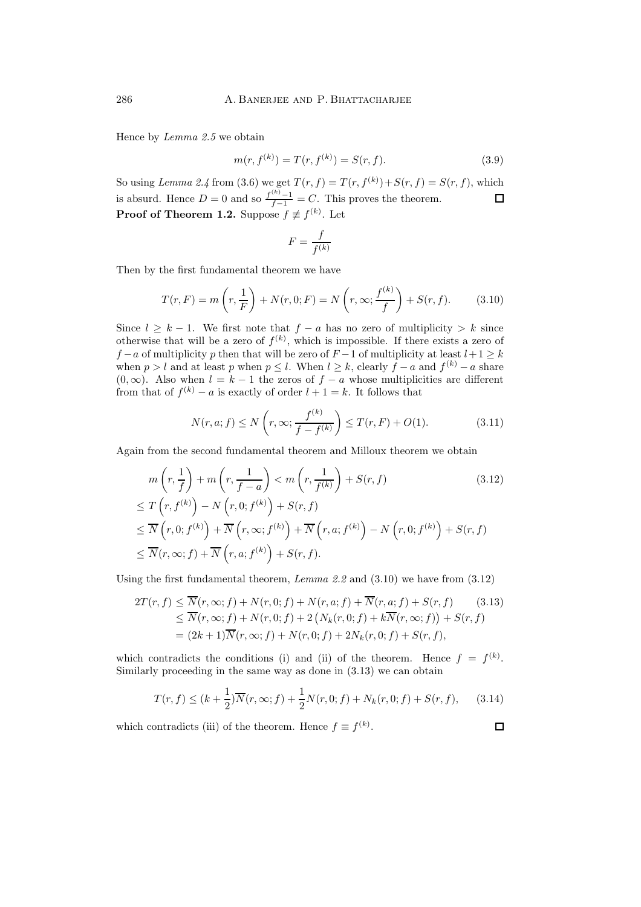Hence by *Lemma 2.5* we obtain

$$
m(r, f^{(k)}) = T(r, f^{(k)}) = S(r, f). \tag{3.9}
$$

So using *Lemma 2.4* from (3.6) we get  $T(r, f) = T(r, f^{(k)}) + S(r, f) = S(r, f)$ , which is absurd. Hence  $D = 0$  and so  $\frac{f^{(k)} - 1}{f - 1} = C$ . This proves the theorem.  $\Box$ **Proof of Theorem 1.2.** Suppose  $f \not\equiv f^{(k)}$ . Let

$$
F=\frac{f}{f^{(k)}}
$$

Then by the first fundamental theorem we have

$$
T(r, F) = m\left(r, \frac{1}{F}\right) + N(r, 0; F) = N\left(r, \infty; \frac{f^{(k)}}{f}\right) + S(r, f). \tag{3.10}
$$

Since  $l \geq k - 1$ . We first note that  $f - a$  has no zero of multiplicity > k since otherwise that will be a zero of  $f^{(k)}$ , which is impossible. If there exists a zero of  $f - a$  of multiplicity p then that will be zero of  $F - 1$  of multiplicity at least  $l + 1 \geq k$ when  $p > l$  and at least p when  $p \leq l$ . When  $l \geq k$ , clearly  $f - a$  and  $f^{(k)} - a$  share  $(0, \infty)$ . Also when  $l = k - 1$  the zeros of  $f - a$  whose multiplicities are different from that of  $f^{(k)} - a$  is exactly of order  $l + 1 = k$ . It follows that

$$
N(r, a; f) \le N\left(r, \infty; \frac{f^{(k)}}{f - f^{(k)}}\right) \le T(r, F) + O(1). \tag{3.11}
$$

Again from the second fundamental theorem and Milloux theorem we obtain

$$
m\left(r, \frac{1}{f}\right) + m\left(r, \frac{1}{f-a}\right) < m\left(r, \frac{1}{f^{(k)}}\right) + S(r, f) \tag{3.12}
$$
\n
$$
\leq T\left(r, f^{(k)}\right) - N\left(r, 0; f^{(k)}\right) + S(r, f)
$$
\n
$$
\leq \overline{N}\left(r, 0; f^{(k)}\right) + \overline{N}\left(r, \infty; f^{(k)}\right) + \overline{N}\left(r, a; f^{(k)}\right) - N\left(r, 0; f^{(k)}\right) + S(r, f)
$$
\n
$$
\leq \overline{N}(r, \infty; f) + \overline{N}\left(r, a; f^{(k)}\right) + S(r, f).
$$

Using the first fundamental theorem, *Lemma 2.2* and (3.10) we have from (3.12)

$$
2T(r, f) \le \overline{N}(r, \infty; f) + N(r, 0; f) + N(r, a; f) + \overline{N}(r, a; f) + S(r, f)
$$
(3.13)  

$$
\le \overline{N}(r, \infty; f) + N(r, 0; f) + 2 (N_k(r, 0; f) + k \overline{N}(r, \infty; f)) + S(r, f)
$$
  

$$
= (2k+1)\overline{N}(r, \infty; f) + N(r, 0; f) + 2N_k(r, 0; f) + S(r, f),
$$

which contradicts the conditions (i) and (ii) of the theorem. Hence  $f = f^{(k)}$ . Similarly proceeding in the same way as done in (3.13) we can obtain

$$
T(r, f) \le (k + \frac{1}{2})\overline{N}(r, \infty; f) + \frac{1}{2}N(r, 0; f) + N_k(r, 0; f) + S(r, f), \quad (3.14)
$$

which contradicts (iii) of the theorem. Hence  $f \equiv f^{(k)}$ .

 $\Box$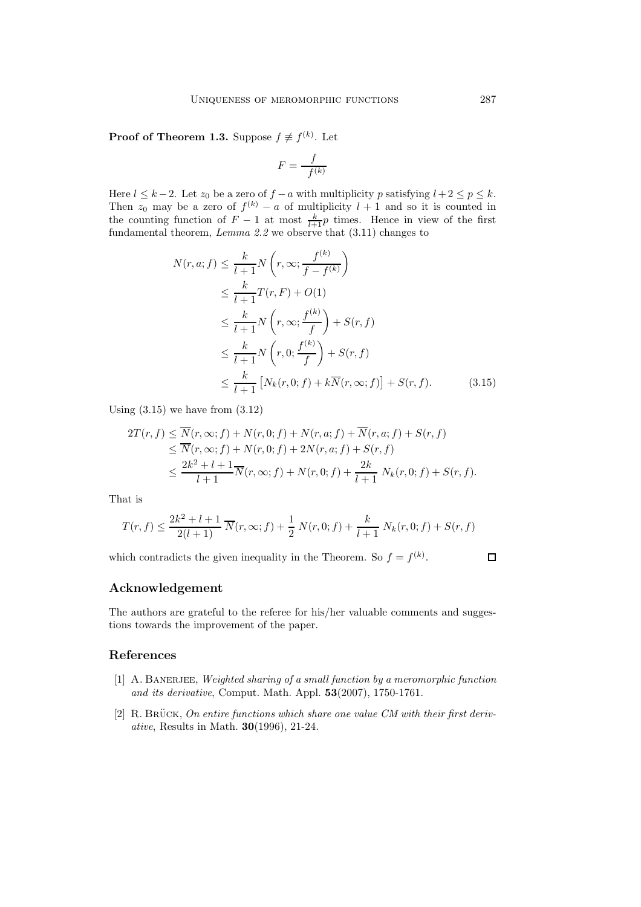**Proof of Theorem 1.3.** Suppose  $f \not\equiv f^{(k)}$ . Let

$$
F = \frac{f}{f^{(k)}}
$$

Here  $l \leq k-2$ . Let  $z_0$  be a zero of  $f - a$  with multiplicity p satisfying  $l + 2 \leq p \leq k$ . Then  $z_0$  may be a zero of  $f^{(k)} - a$  of multiplicity  $l + 1$  and so it is counted in the counting function of  $F - 1$  at most  $\frac{k}{l+1}p$  times. Hence in view of the first fundamental theorem, *Lemma 2.2* we observe that (3.11) changes to

$$
N(r, a; f) \leq \frac{k}{l+1} N\left(r, \infty; \frac{f^{(k)}}{f - f^{(k)}}\right)
$$
  
\n
$$
\leq \frac{k}{l+1} T(r, F) + O(1)
$$
  
\n
$$
\leq \frac{k}{l+1} N\left(r, \infty; \frac{f^{(k)}}{f}\right) + S(r, f)
$$
  
\n
$$
\leq \frac{k}{l+1} N\left(r, 0; \frac{f^{(k)}}{f}\right) + S(r, f)
$$
  
\n
$$
\leq \frac{k}{l+1} \left[N_k(r, 0; f) + k\overline{N}(r, \infty; f)\right] + S(r, f).
$$
 (3.15)

Using  $(3.15)$  we have from  $(3.12)$ 

$$
2T(r, f) \leq \overline{N}(r, \infty; f) + N(r, 0; f) + N(r, a; f) + \overline{N}(r, a; f) + S(r, f)
$$
  
\n
$$
\leq \overline{N}(r, \infty; f) + N(r, 0; f) + 2N(r, a; f) + S(r, f)
$$
  
\n
$$
\leq \frac{2k^2 + l + 1}{l + 1} \overline{N}(r, \infty; f) + N(r, 0; f) + \frac{2k}{l + 1} N_k(r, 0; f) + S(r, f).
$$

That is

$$
T(r, f) \le \frac{2k^2 + l + 1}{2(l + 1)} \overline{N}(r, \infty; f) + \frac{1}{2} N(r, 0; f) + \frac{k}{l + 1} N_k(r, 0; f) + S(r, f)
$$

which contradicts the given inequality in the Theorem. So  $f = f^{(k)}$ .

 $\Box$ 

### **Acknowledgement**

The authors are grateful to the referee for his/her valuable comments and suggestions towards the improvement of the paper.

### **References**

- [1] A. Banerjee, *Weighted sharing of a small function by a meromorphic function and its derivative*, Comput. Math. Appl. **53**(2007), 1750-1761.
- [2] R. BRÜCK, *On entire functions which share one value CM with their first derivative*, Results in Math. **30**(1996), 21-24.